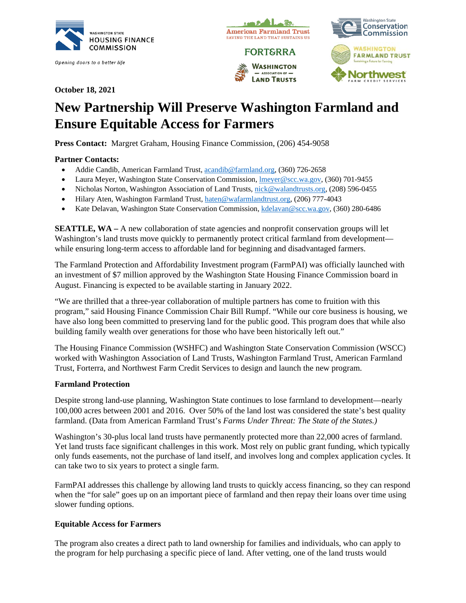

Opening doors to a better life



**October 18, 2021**

# **New Partnership Will Preserve Washington Farmland and Ensure Equitable Access for Farmers**

**Press Contact:** Margret Graham, Housing Finance Commission, (206) 454-9058

# **Partner Contacts:**

- Addie Candib, American Farmland Trust[, acandib@farmland.org,](mailto:acandib@farmland.org) (360) 726-2658
- Laura Meyer, Washington State Conservation Commission, Imeyer@scc.wa.gov, (360) 701-9455
- Nicholas Norton, Washington Association of Land Trusts, [nick@walandtrusts.org,](mailto:nick@walandtrusts.org) (208) 596-0455
- Hilary Aten, Washington Farmland Trust, [haten@wafarmlandtrust.org,](mailto:haten@wafarmlandtrust.org) (206) 777-4043
- Kate Delavan, Washington State Conservation Commission, [kdelavan@scc.wa.gov,](mailto:kdelavan@scc.wa.gov) (360) 280-6486

**SEATTLE, WA** – A new collaboration of state agencies and nonprofit conservation groups will let Washington's land trusts move quickly to permanently protect critical farmland from development while ensuring long-term access to affordable land for beginning and disadvantaged farmers.

The Farmland Protection and Affordability Investment program (FarmPAI) was officially launched with an investment of \$7 million approved by the Washington State Housing Finance Commission board in August. Financing is expected to be available starting in January 2022.

"We are thrilled that a three-year collaboration of multiple partners has come to fruition with this program," said Housing Finance Commission Chair Bill Rumpf. "While our core business is housing, we have also long been committed to preserving land for the public good. This program does that while also building family wealth over generations for those who have been historically left out."

The Housing Finance Commission (WSHFC) and Washington State Conservation Commission (WSCC) worked with Washington Association of Land Trusts, Washington Farmland Trust, American Farmland Trust, Forterra, and Northwest Farm Credit Services to design and launch the new program.

### **Farmland Protection**

Despite strong land-use planning, Washington State continues to lose farmland to development—nearly 100,000 acres between 2001 and 2016. Over 50% of the land lost was considered the state's best quality farmland. (Data from American Farmland Trust's *Farms Under Threat: The State of the States.)*

Washington's 30-plus local land trusts have permanently protected more than 22,000 acres of farmland. Yet land trusts face significant challenges in this work. Most rely on public grant funding, which typically only funds easements, not the purchase of land itself, and involves long and complex application cycles. It can take two to six years to protect a single farm.

FarmPAI addresses this challenge by allowing land trusts to quickly access financing, so they can respond when the "for sale" goes up on an important piece of farmland and then repay their loans over time using slower funding options.

### **Equitable Access for Farmers**

The program also creates a direct path to land ownership for families and individuals, who can apply to the program for help purchasing a specific piece of land. After vetting, one of the land trusts would